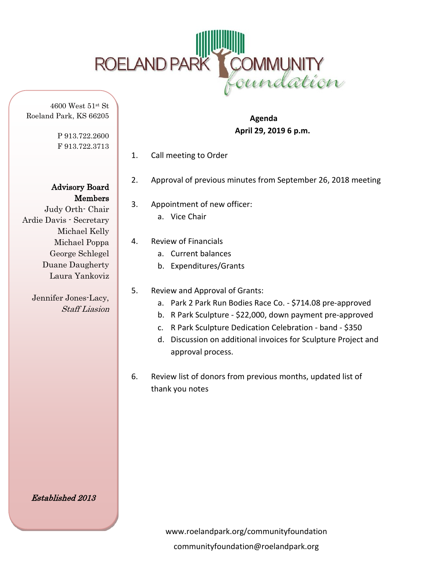

4600 West 51st St Roeland Park, KS 66205

> P 913.722.2600 F 913.722.3713

Advisory Board Members

Judy Orth- Chair Ardie Davis - Secretary Michael Kelly Michael Poppa George Schlegel Duane Daugherty Laura Yankoviz

> Jennifer Jones-Lacy, Staff Liasion

 **Agenda April 29, 2019 6 p.m.** 

- 1. Call meeting to Order
- 2. Approval of previous minutes from September 26, 2018 meeting
- 3. Appointment of new officer: a. Vice Chair
- 4. Review of Financials
	- a. Current balances
	- b. Expenditures/Grants
- 5. Review and Approval of Grants:
	- a. Park 2 Park Run Bodies Race Co. \$714.08 pre-approved
	- b. R Park Sculpture \$22,000, down payment pre-approved
	- c. R Park Sculpture Dedication Celebration band \$350
	- d. Discussion on additional invoices for Sculpture Project and approval process.
- 6. Review list of donors from previous months, updated list of thank you notes

Established 2013

www.roelandpark.org/communityfoundation communityfoundation@roelandpark.org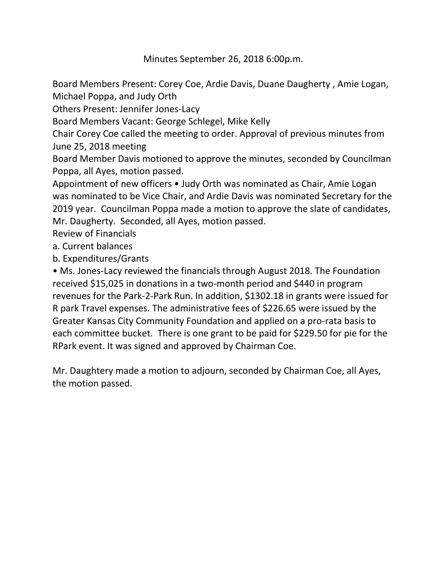Minutes September 26, 2018 6:00p.m.

Board Members Present: Corey Coe, Ardie Davis, Duane Daugherty , Amie Logan, Michael Poppa, and Judy Orth

Others Present: Jennifer Jones-Lacy

Board Members Vacant: George Schlegel, Mike Kelly

Chair Corey Coe called the meeting to order. Approval of previous minutes from June 25, 2018 meeting

Board Member Davis motioned to approve the minutes, seconded by Councilman Poppa, all Ayes, motion passed.

Appointment of new officers • Judy Orth was nominated as Chair, Amie Logan was nominated to be Vice Chair, and Ardie Davis was nominated Secretary for the 2019 year. Councilman Poppa made a motion to approve the slate of candidates, Mr. Daugherty. Seconded, all Ayes, motion passed.

Review of Financials

a. Current balances

b. Expenditures/Grants

• Ms. Jones-Lacy reviewed the financials through August 2018. The Foundation received \$15,025 in donations in a two-month period and \$440 in program revenues for the Park-2-Park Run. In addition, \$1302.18 in grants were issued for R park Travel expenses. The administrative fees of \$226.65 were issued by the Greater Kansas City Community Foundation and applied on a pro-rata basis to each committee bucket. There is one grant to be paid for \$229.50 for pie for the RPark event. It was signed and approved by Chairman Coe.

Mr. Daughtery made a motion to adjourn, seconded by Chairman Coe, all Ayes, the motion passed.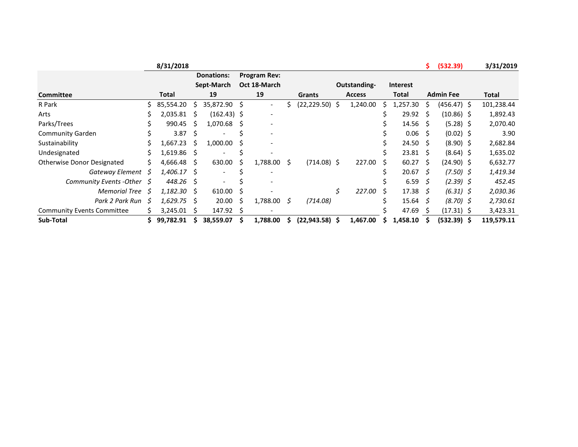|                                   |    | 8/31/2018     |     |                   |      |                          |    |                   |                 |    |                 | S.           | (532.39)         | 3/31/2019  |
|-----------------------------------|----|---------------|-----|-------------------|------|--------------------------|----|-------------------|-----------------|----|-----------------|--------------|------------------|------------|
|                                   |    |               |     | <b>Donations:</b> |      | <b>Program Rev:</b>      |    |                   |                 |    |                 |              |                  |            |
|                                   |    |               |     | Sept-March        |      | Oct 18-March             |    |                   | Outstanding-    |    | <b>Interest</b> |              |                  |            |
| <b>Committee</b>                  |    | Total         |     | 19                |      | 19                       |    | Grants            | <b>Access</b>   |    | Total           |              | <b>Admin Fee</b> | Total      |
| R Park                            | Ś  | 85,554.20     | Ś.  | 35,872.90 \$      |      | $\overline{\phantom{a}}$ |    | $(22, 229.50)$ \$ | 1,240.00        |    | 1,257.30        | Ŝ            | (456.47) \$      | 101,238.44 |
| Arts                              | s  | 2,035.81      | Ŝ.  | $(162.43)$ \$     |      | $\overline{\phantom{a}}$ |    |                   |                 |    | 29.92           | <sub>S</sub> | $(10.86)$ \$     | 1,892.43   |
| Parks/Trees                       |    | 990.45        | Ŝ.  | 1,070.68          | - S  | $\overline{\phantom{a}}$ |    |                   |                 |    | 14.56           | -S           | $(5.28)$ \$      | 2,070.40   |
| <b>Community Garden</b>           |    | 3.87          | Ŝ.  |                   |      | $\overline{\phantom{a}}$ |    |                   |                 |    | 0.06            | S.           | $(0.02)$ \$      | 3.90       |
| Sustainability                    |    | 1,667.23      | -S  | 1,000.00          | - S  |                          |    |                   |                 |    | 24.50           | - S          | $(8.90)$ \$      | 2,682.84   |
| Undesignated                      | Ś  | $1,619.86$ \$ |     |                   |      |                          |    |                   |                 | ↘  | $23.81 \quad $$ |              | $(8.64)$ \$      | 1,635.02   |
| Otherwise Donor Designated        | S  | 4,666.48      | -S  | 630.00            | S    | 1,788.00                 | \$ | $(714.08)$ \$     | 227.00          | Ŝ. | 60.27           | S            | $(24.90)$ \$     | 6,632.77   |
| Gateway Element                   | S  | 1,406.17 \$   |     |                   |      |                          |    |                   |                 |    | 20.67           | S.           | $(7.50)$ \$      | 1,419.34   |
| <b>Community Events -Other</b>    | S  | 448.26 \$     |     |                   |      |                          |    |                   |                 |    | 6.59            | -S           | $(2.39)$ \$      | 452.45     |
| <b>Memorial Tree</b>              | -S | 1,182.30      | - S | 610.00            | - S  |                          |    |                   | \$<br>227.00 \$ |    | $17.38 \quad 5$ |              | $(6.31)$ \$      | 2,030.36   |
| Park 2 Park Run                   | -S | 1,629.75      | - S | 20.00             | - \$ | 1,788.00                 | S  | (714.08)          |                 |    | $15.64 \quad$   |              | $(8.70)$ \$      | 2,730.61   |
| <b>Community Events Committee</b> |    | 3,245.01      | S   | $147.92 \div$     |      | $\overline{\phantom{a}}$ |    |                   |                 |    | 47.69           |              | $(17.31)$ \$     | 3,423.31   |
| Sub-Total                         |    | 99,782.91     |     | 38,559.07         |      | 1,788.00                 |    | $(22, 943.58)$ \$ | 1,467.00        |    | 1,458.10        |              | $(532.39)$ \$    | 119,579.11 |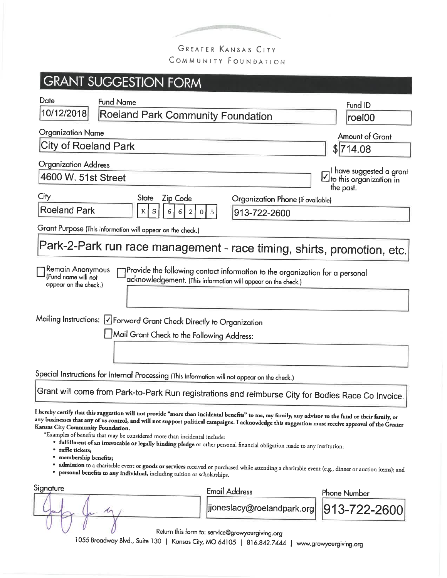

## GREATER KANSAS CITY COMMUNITY FOUNDATION

### **GRANT SUGGESTION FORM** Date **Fund Name** Fund ID 10/12/2018 Roeland Park Community Foundation roel00 **Organization Name** Amount of Grant City of Roeland Park  $$714.08$ **Organization Address** I have suggested a grant 4600 W. 51st Street  $\vee$  to this organization in the past. City **State** Zip Code Organization Phone (if available) **Roeland Park**  $\mathbf{K}$ S 6 6 913-722-2600 Grant Purpose (This information will appear on the check.) Park-2-Park run race management - race timing, shirts, promotion, etc. Provide the following contact information to the organization for a personal Remain Anonymous (Fund name will not acknowledgement. (This information will appear on the check.) appear on the check.) Mailing Instructions: DForward Grant Check Directly to Organization Mail Grant Check to the Following Address: Special Instructions for Internal Processing (This information will not appear on the check.) Grant will come from Park-to-Park Run registrations and reimburse City for Bodies Race Co Invoice. I hereby certify that this suggestion will not provide "more than incidental benefits" to me, my family, any advisor to the fund or their family, or any businesses that any of us control, and will not support political campaigns. I acknowledge this suggestion must receive approval of the Greater Kansas City Community Foundation. \*Examples of benefits that may be considered more than incidental include: · fulfillment of an irrevocable or legally binding pledge or other personal financial obligation made to any institution; • raffle tickets; membership benefits; admission to a charitable event or goods or services received or purchased while attending a charitable event (e.g., dinner or auction items); and · personal benefits to any individual, including tuition or scholarships. Signature **Email Address Phone Number**

|  |  | jjoneslacy@roelandpark.org  913-722-2600                  |  |
|--|--|-----------------------------------------------------------|--|
|  |  | $D_{\alpha}$ the set of the following the set of $\alpha$ |  |

Return this form to: service@growyourgiving.org

1055 Broadway Blvd., Suite 130 | Kansas City, MO 64105 | 816.842.7444 | www.growyourgiving.org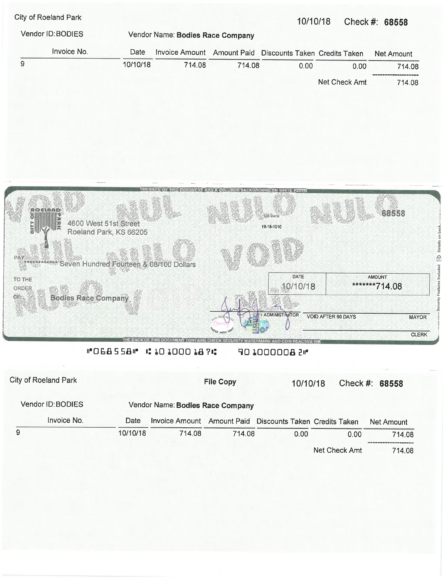City of Roeland Park

### 10/10/18 Check #: 68558

|                                                                        | Vendor Name: Bodies Race Company | Vendor ID: BODIES |             |   |  |
|------------------------------------------------------------------------|----------------------------------|-------------------|-------------|---|--|
| Invoice Amount Amount Paid Discounts Taken Credits Taken<br>Net Amount |                                  | Date              | Invoice No. |   |  |
| 714.08<br>0.00<br>0.00<br>714.08                                       | 714.08                           | 10/10/18          |             | 9 |  |
| Net Check Amt<br>714.08                                                |                                  |                   |             |   |  |
|                                                                        |                                  |                   |             |   |  |



### #068558 11010001876 **401000008 PM**

| City of Roeland Park                                  |          |        | <b>File Copy</b> | 10/10/18                                                 |               | Check #: $68558$ |  |  |
|-------------------------------------------------------|----------|--------|------------------|----------------------------------------------------------|---------------|------------------|--|--|
| Vendor ID: BODIES<br>Vendor Name: Bodies Race Company |          |        |                  |                                                          |               |                  |  |  |
| Invoice No.                                           | Date     |        |                  | Invoice Amount Amount Paid Discounts Taken Credits Taken |               | Net Amount       |  |  |
| 9                                                     | 10/10/18 | 714.08 | 714.08           | 0.00                                                     | 0.00          | 714.08           |  |  |
|                                                       |          |        |                  |                                                          | Net Check Amt | 714.08           |  |  |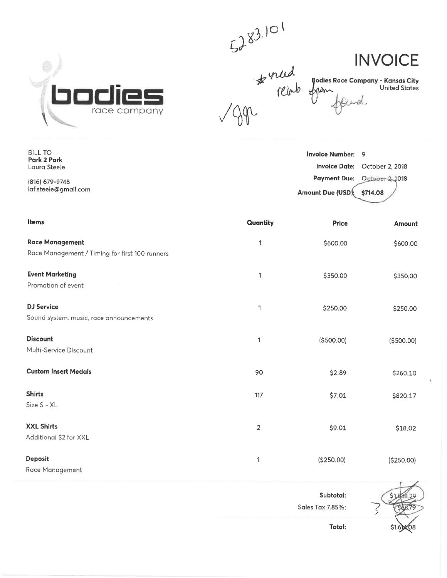

**BILL TO** 

Park 2 Park

Laura Steele

(816) 679-9748 laf.steele@gmail.com

**INVOICE** 

**Bodies Race Company - Kansas City** United States

el.

 $5283.101$ <br> $483.101$ <br> $1000$   $900$ <br> $10000$   $900$ 

### **Invoice Number:**  $\overline{9}$ Invoice Date: October 2, 2018 **Payment Due:** October-2<sub>2</sub>018 Amount Due (USD) \$714.08

| Items                                                                    | Quantity | Price       | Amount     |
|--------------------------------------------------------------------------|----------|-------------|------------|
| <b>Race Management</b><br>Race Management / Timing for first 100 runners | 1        | \$600.00    | \$600.00   |
| <b>Event Marketing</b><br>Promotion of event                             | 1        | \$350.00    | \$350.00   |
| <b>DJ Service</b><br>Sound system, music, race announcements             | 1        | \$250.00    | \$250.00   |
| <b>Discount</b><br>Multi-Service Discount                                | 1        | ( \$500.00) | (\$500.00) |
| <b>Custom Insert Medals</b>                                              | 90       | \$2.89      | \$260.10   |
| <b>Shirts</b><br>Size S - XL                                             | 117      | \$7.01      | \$820.17   |
| <b>XXL Shirts</b><br>Additional \$2 for XXL                              | 2        | \$9.01      | \$18.02    |
| Deposit<br>Race Management                                               | 1        | (\$250.00)  | (\$250.00) |

Subtotal: Sales Tax 7.85%: Total: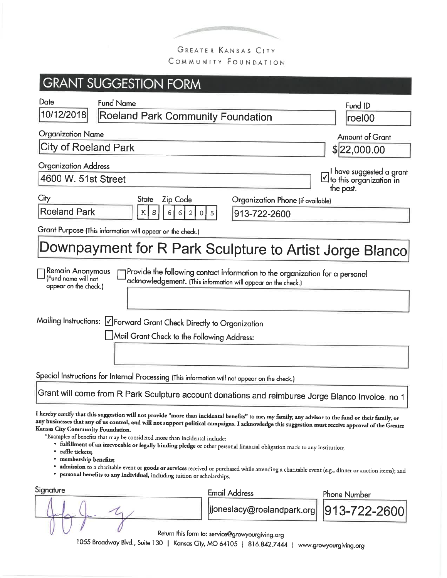

COMMUNITY FOUNDATION

|                                                                                  |                  | <b>GRANT SUGGESTION FORM</b>                                                                                                                            |   |                                                                                                                                                                                                                                                                                   |                                                                                                                                                                                                                                                                                                             |
|----------------------------------------------------------------------------------|------------------|---------------------------------------------------------------------------------------------------------------------------------------------------------|---|-----------------------------------------------------------------------------------------------------------------------------------------------------------------------------------------------------------------------------------------------------------------------------------|-------------------------------------------------------------------------------------------------------------------------------------------------------------------------------------------------------------------------------------------------------------------------------------------------------------|
| Date                                                                             | <b>Fund Name</b> |                                                                                                                                                         |   |                                                                                                                                                                                                                                                                                   | Fund ID                                                                                                                                                                                                                                                                                                     |
| 10/12/2018                                                                       |                  | Roeland Park Community Foundation                                                                                                                       |   |                                                                                                                                                                                                                                                                                   | roel00                                                                                                                                                                                                                                                                                                      |
| <b>Organization Name</b>                                                         |                  |                                                                                                                                                         |   |                                                                                                                                                                                                                                                                                   | <b>Amount of Grant</b>                                                                                                                                                                                                                                                                                      |
| City of Roeland Park                                                             |                  |                                                                                                                                                         |   |                                                                                                                                                                                                                                                                                   | \$ 22,000.00                                                                                                                                                                                                                                                                                                |
| <b>Organization Address</b><br>4600 W. 51st Street                               |                  |                                                                                                                                                         |   |                                                                                                                                                                                                                                                                                   | I have suggested a grant<br>$\boxtimes$ to this organization in                                                                                                                                                                                                                                             |
| City                                                                             |                  | Zip Code<br><b>State</b>                                                                                                                                |   | Organization Phone (if available)                                                                                                                                                                                                                                                 | the past.                                                                                                                                                                                                                                                                                                   |
| <b>Roeland Park</b>                                                              |                  | $\mathbf S$<br>6 <br>Κ<br>6<br>2<br>0                                                                                                                   | 5 | 913-722-2600                                                                                                                                                                                                                                                                      |                                                                                                                                                                                                                                                                                                             |
|                                                                                  |                  | Grant Purpose (This information will appear on the check.)                                                                                              |   |                                                                                                                                                                                                                                                                                   |                                                                                                                                                                                                                                                                                                             |
|                                                                                  |                  |                                                                                                                                                         |   |                                                                                                                                                                                                                                                                                   | Downpayment for R Park Sculpture to Artist Jorge Blanco                                                                                                                                                                                                                                                     |
| Remain Anonymous<br>(Fund name will not<br>appear on the check.)                 |                  |                                                                                                                                                         |   | Provide the following contact information to the organization for a personal<br>acknowledgement. (This information will appear on the check.)                                                                                                                                     |                                                                                                                                                                                                                                                                                                             |
|                                                                                  |                  | Mailing Instructions:   Y Forward Grant Check Directly to Organization<br>$\bigsqcup$ Mail Grant Check to the Following Address:                        |   |                                                                                                                                                                                                                                                                                   |                                                                                                                                                                                                                                                                                                             |
|                                                                                  |                  |                                                                                                                                                         |   |                                                                                                                                                                                                                                                                                   |                                                                                                                                                                                                                                                                                                             |
|                                                                                  |                  | Special Instructions for Internal Processing (This information will not appear on the check.)                                                           |   |                                                                                                                                                                                                                                                                                   |                                                                                                                                                                                                                                                                                                             |
|                                                                                  |                  |                                                                                                                                                         |   |                                                                                                                                                                                                                                                                                   | Grant will come from R Park Sculpture account donations and reimburse Jorge Blanco Invoice. no 1                                                                                                                                                                                                            |
| Kansas City Community Foundation.<br>• raffle tickets;<br>· membership benefits; |                  | *Examples of benefits that may be considered more than incidental include:<br>· personal benefits to any individual, including tuition or scholarships. |   | I hereby certify that this suggestion will not provide "more than incidental benefits" to me, my family, any advisor to the fund or their family, or<br>· fulfillment of an irrevocable or legally binding pledge or other personal financial obligation made to any institution; | any businesses that any of us control, and will not support political campaigns. I acknowledge this suggestion must receive approval of the Greater<br>· admission to a charitable event or goods or services received or purchased while attending a charitable event (e.g., dinner or auction items); and |
| Signature                                                                        |                  |                                                                                                                                                         |   | <b>Email Address</b>                                                                                                                                                                                                                                                              | <b>Phone Number</b>                                                                                                                                                                                                                                                                                         |
|                                                                                  |                  |                                                                                                                                                         |   | jjoneslacy@roelandpark.org                                                                                                                                                                                                                                                        | 913-722-260                                                                                                                                                                                                                                                                                                 |
|                                                                                  |                  | Return this form to consico@arque                                                                                                                       |   |                                                                                                                                                                                                                                                                                   |                                                                                                                                                                                                                                                                                                             |

Return this form to: service@growyourgiving.org

1055 Broadway Blvd., Suite 130 | Kansas City, MO 64105 | 816.842.7444 | www.growyourgiving.org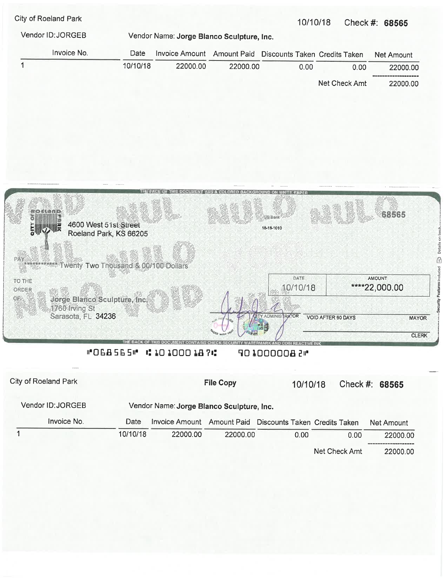|          |          |                    |                |                                                       | Check #: 68565                            |
|----------|----------|--------------------|----------------|-------------------------------------------------------|-------------------------------------------|
|          |          |                    |                |                                                       |                                           |
| Date     |          | <b>Amount Paid</b> |                |                                                       | Net Amount                                |
| 10/10/18 | 22000.00 |                    | 0.00           | 0.00                                                  | 22000.00                                  |
|          |          |                    |                | Net Check Amt                                         | 22000.00                                  |
|          |          |                    | Invoice Amount | Vendor Name: Jorge Blanco Sculpture, Inc.<br>22000.00 | 10/10/18<br>Discounts Taken Credits Taken |



### "OEB5E5" #1010001874 401000008 2 M

|                                                                | City of Roeland Park |          |                | <b>File Copy</b> | 10/10/18                      |               | Check #: 68565 |  |  |
|----------------------------------------------------------------|----------------------|----------|----------------|------------------|-------------------------------|---------------|----------------|--|--|
| Vendor ID: JORGEB<br>Vendor Name: Jorge Blanco Sculpture, Inc. |                      |          |                |                  |                               |               |                |  |  |
|                                                                | Invoice No.          | Date     | Invoice Amount | Amount Paid      | Discounts Taken Credits Taken |               | Net Amount     |  |  |
|                                                                |                      | 10/10/18 | 22000.00       | 22000.00         | 0.00                          | 0.00          | 22000.00       |  |  |
|                                                                |                      |          |                |                  |                               | Net Check Amt | 22000.00       |  |  |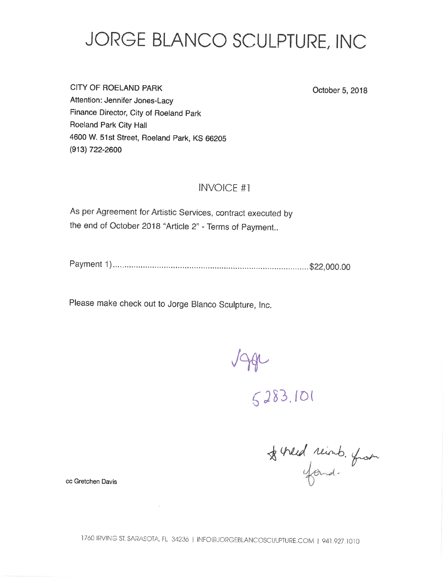# JORGE BLANCO SCULPTURE, INC

**CITY OF ROELAND PARK** Attention: Jennifer Jones-Lacy Finance Director, City of Roeland Park Roeland Park City Hall 4600 W. 51st Street, Roeland Park, KS 66205 (913) 722-2600

October 5, 2018

## **INVOICE #1**

As per Agreement for Artistic Services, contract executed by the end of October 2018 "Article 2" - Terms of Payment..

Please make check out to Jorge Blanco Sculpture, Inc.

 $\sim 10^6$ 

 $144$ 

 $5283.101$ 

& hed reinb. from

cc Gretchen Davis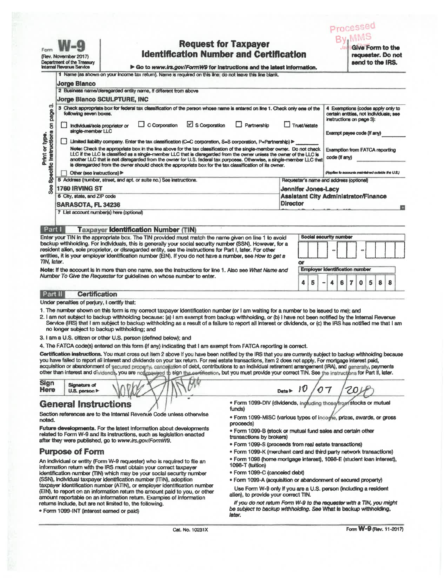| Form                                | (Rev. November 2017)<br>Department of the Treesury<br><b>Internal Revenue Service</b> | <b>Request for Taxpayer</b><br><b>Identification Number and Certification</b><br>le Go to www.irs.gov/FormW9 for instructions and the latest information.<br>1 Name (as shown on your income tax return). Name is required on this line; do not leave this line blank.                                                                                                                                                                                                             |                                                        |                                                                                                                                       |  |  |  |  |  |  |  |
|-------------------------------------|---------------------------------------------------------------------------------------|------------------------------------------------------------------------------------------------------------------------------------------------------------------------------------------------------------------------------------------------------------------------------------------------------------------------------------------------------------------------------------------------------------------------------------------------------------------------------------|--------------------------------------------------------|---------------------------------------------------------------------------------------------------------------------------------------|--|--|--|--|--|--|--|
|                                     | <b>Jorge Blanco</b>                                                                   |                                                                                                                                                                                                                                                                                                                                                                                                                                                                                    |                                                        |                                                                                                                                       |  |  |  |  |  |  |  |
|                                     |                                                                                       | 2 Business name/disregarded entity name, if different from above                                                                                                                                                                                                                                                                                                                                                                                                                   |                                                        |                                                                                                                                       |  |  |  |  |  |  |  |
|                                     |                                                                                       | <b>Jorge Blanco SCULPTURE, INC</b>                                                                                                                                                                                                                                                                                                                                                                                                                                                 |                                                        |                                                                                                                                       |  |  |  |  |  |  |  |
| က်<br>Specific instructions on page | following seven boxes.<br>individual/sole proprietor or<br>single-member LLC          | 3 Check appropriate box for federal tax classification of the person whose name is entered on line 1. Check only one of the<br>$\boxdot$ S Corporation<br>$\Box$ C Corporation<br>$\Box$ Partnership                                                                                                                                                                                                                                                                               | Trust/estate                                           | 4 Exemptions (codes apply only to<br>certain entities, not individuals; see<br>instructions on page 3):<br>Exempt payes code (if any) |  |  |  |  |  |  |  |
|                                     |                                                                                       | Limited liability company. Enter the tax classification (C=C corporation, S=8 corporation, P=Partnership) >                                                                                                                                                                                                                                                                                                                                                                        |                                                        |                                                                                                                                       |  |  |  |  |  |  |  |
| Print or type                       |                                                                                       | Note: Check the appropriate box in the line above for the tax classification of the single-member owner. Do not check<br>LLC if the LLC is classified as a single-member LLC that is disregarded from the owner unless the owner of the LLC is<br>another LLC that is not disregarded from the owner for U.S. federal tax purposes. Otherwise, a single-member LLC that<br>is disregarded from the owner should check the appropriate box for the tax classification of its owner. | <b>Exemption from FATCA reporting</b><br>code (if anv) |                                                                                                                                       |  |  |  |  |  |  |  |
|                                     | Other (see instructions)                                                              |                                                                                                                                                                                                                                                                                                                                                                                                                                                                                    |                                                        | (Applies to accounts maintained outside the U.S.)                                                                                     |  |  |  |  |  |  |  |
|                                     |                                                                                       | 5 Address (number, street, and apt. or suite no.) See instructions.                                                                                                                                                                                                                                                                                                                                                                                                                |                                                        | Requester's name and address (optional)                                                                                               |  |  |  |  |  |  |  |
| $\frac{8}{2}$                       | <b>1760 IRVING ST</b>                                                                 |                                                                                                                                                                                                                                                                                                                                                                                                                                                                                    | <b>Jennifer Jones-Lacy</b>                             |                                                                                                                                       |  |  |  |  |  |  |  |
|                                     | 6 City, state, and ZIP code                                                           |                                                                                                                                                                                                                                                                                                                                                                                                                                                                                    |                                                        | <b>Assistant City Administrator/Finance</b>                                                                                           |  |  |  |  |  |  |  |
|                                     | <b>SARASOTA, FL 34236</b>                                                             |                                                                                                                                                                                                                                                                                                                                                                                                                                                                                    | <b>Director</b>                                        |                                                                                                                                       |  |  |  |  |  |  |  |
|                                     |                                                                                       | 7 List account number(s) here (optional)                                                                                                                                                                                                                                                                                                                                                                                                                                           |                                                        |                                                                                                                                       |  |  |  |  |  |  |  |
| Part I                              |                                                                                       | <b>Taxpayer Identification Number (TIN)</b>                                                                                                                                                                                                                                                                                                                                                                                                                                        |                                                        |                                                                                                                                       |  |  |  |  |  |  |  |
| TIN. later.                         |                                                                                       | Enter your TIN in the appropriate box. The TIN provided must match the name given on line 1 to avoid<br>backup withholding. For individuals, this is generally your social security number (SSN). However, for a<br>resident alien, sole proprietor, or disregarded entity, see the instructions for Part I, later. For other<br>entities, it is your employer identification number (EIN). If you do not have a number, see How to get a                                          | o۳                                                     | Social security number                                                                                                                |  |  |  |  |  |  |  |
|                                     |                                                                                       | Note: If the account is in more than one name, see the instructions for line 1. Also see What Name and<br>Number To Give the Requester for quidelines on whose number to enter.                                                                                                                                                                                                                                                                                                    |                                                        | Employer identification number                                                                                                        |  |  |  |  |  |  |  |
|                                     |                                                                                       |                                                                                                                                                                                                                                                                                                                                                                                                                                                                                    | А<br>Б                                                 | 7<br>$\Omega$<br>5<br>8<br>8<br>R                                                                                                     |  |  |  |  |  |  |  |

#### **Certification** | Part III

Under penalties of perjury, I certify that:

- 1. The number shown on this form is my correct taxoaver identification number (or I am waiting for a number to be issued to me); and
- 2. I am not subject to backup withholding because: (a) I am exempt from backup withholding, or (b) I have not been notified by the Internal Revenue Service (IRS) that I am subject to backup withholding as a result of a failure to report all interest or dividends, or (c) the IRS has notified me that I am no longer subject to backup withholding; and
- 3. I am a U.S. citizen or other U.S. person (defined below); and
- 4. The FATCA code(s) entered on this form (if any) indicating that I am exempt from FATCA reporting is correct.

Certification instructions. You must cross out item 2 above if you have been notified by the IRS that you are currently subject to backup withholding because you have failed to report all interest and dividends on your tax return. For real estate transactions, item 2 does not apply. For mortgage interest paid, acquisition or abandonment of secured property, cancellation of debt, contributions to an individual retirement arrangement (IRA), and generally, payments other than interest and dividends, you are notinger ed to sign the corefication, but you must provide your correct TIN. See the instructions for Part II, later.

Sign **Signature of** Here U.S. person >

# **General Instructions**

Section references are to the Internal Revenue Code unless otherwise noted.

Future developments. For the latest information about developments related to Form W-9 and its instructions, such as legislation enacted after they were published, go to www.irs.gov/FormW9.

## **Purpose of Form**

An individual or entity (Form W-9 requester) who is required to file an information return with the IRS must obtain your correct taxpayer identification number (TIN) which may be your social security number (SSN), individual taxpayer identification number (ITIN), adoption taxpayer identification number (ATIN), or employer identification number (EIN), to report on an information return the amount paid to you, or other amount reportable on an information return. Examples of information returns include, but are not limited to, the following.

· Form 1099-INT (interest earned or paid)

. Form 1099-DIV (dividends, ingluding those/from stocks or mutual funds)

07

ZO.

Processed

- · Form 1099-MISC (various types of income, prizes, awards, or gross proceeds)
- . Form 1099-B (stock or mutual fund sales and certain other transactions by brokers)
- · Form 1099-S (proceeds from real estate transactions)

Date  $\blacktriangleright$  10

- . Form 1099-K (merchant card and third party network transactions)
- · Form 1098 (home mortgage interest), 1098-E (student loan interest), 1098-T (tuition)
- · Form 1099-C (canceled debt)
- · Form 1099-A (acquisition or abandonment of secured property)

Use Form W-9 only if you are a U.S. person (including a resident alien), to provide your correct TIN.

If you do not return Form W-9 to the requester with a TIN, you might be subject to backup withholding. See What is backup withholding, later.

Form W-9 (Rev. 11-2017)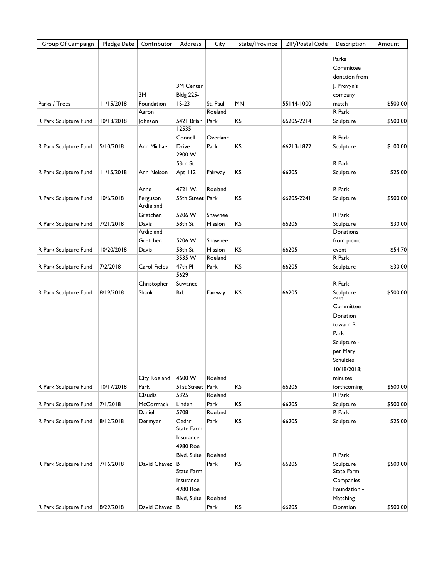| Group Of Campaign     | Pledge Date | Contributor      | Address          | City                | State/Province | ZIP/Postal Code | Description       | Amount   |
|-----------------------|-------------|------------------|------------------|---------------------|----------------|-----------------|-------------------|----------|
|                       |             |                  |                  |                     |                |                 | Parks             |          |
|                       |             |                  |                  |                     |                |                 |                   |          |
|                       |             |                  |                  |                     |                |                 | Committee         |          |
|                       |             |                  | 3M Center        |                     |                |                 | donation from     |          |
|                       |             |                  |                  |                     |                |                 | J. Provyn's       |          |
|                       |             | 3M               | <b>Bldg 225-</b> |                     |                |                 | company           |          |
| Parks / Trees         | 11/15/2018  | Foundation       | $IS-23$          | St. Paul<br>Roeland | <b>MN</b>      | 55144-1000      | match<br>R Park   | \$500.00 |
|                       |             | Aaron            | 5421 Briar       |                     | KS             |                 |                   |          |
| R Park Sculpture Fund | 10/13/2018  | <b>Johnson</b>   | 12535            | Park                |                | 66205-2214      | Sculpture         | \$500.00 |
|                       |             |                  | Connell          | Overland            |                |                 | R Park            |          |
| R Park Sculpture Fund | 5/10/2018   | Ann Michael      | Drive            | Park                | KS             | 66213-1872      | Sculpture         | \$100.00 |
|                       |             |                  | 2900 W           |                     |                |                 |                   |          |
|                       |             |                  | 53rd St.         |                     |                |                 | R Park            |          |
| R Park Sculpture Fund | 11/15/2018  | Ann Nelson       | Apt II2          | Fairway             | KS             | 66205           | Sculpture         | \$25.00  |
|                       |             |                  |                  |                     |                |                 |                   |          |
|                       |             | Anne             | 4721 W.          | Roeland             |                |                 | R Park            |          |
| R Park Sculpture Fund | 10/6/2018   | Ferguson         | 55th Street Park |                     | KS             | 66205-2241      | Sculpture         | \$500.00 |
|                       |             | Ardie and        |                  |                     |                |                 |                   |          |
|                       |             | Gretchen         | 5206 W           | Shawnee             |                |                 | R Park            |          |
| R Park Sculpture Fund | 7/21/2018   | Davis            | 58th St          | Mission             | KS             | 66205           | Sculpture         | \$30.00  |
|                       |             | Ardie and        |                  |                     |                |                 | Donations         |          |
|                       |             | Gretchen         | 5206 W           | Shawnee             |                |                 | from picnic       |          |
| R Park Sculpture Fund | 10/20/2018  | Davis            | 58th St          | Mission             | KS             | 66205           | event             | \$54.70  |
|                       |             |                  | 3535 W           | Roeland             |                |                 | R Park            |          |
| R Park Sculpture Fund | 7/2/2018    | Carol Fields     | 47th PI          | Park                | KS             | 66205           | Sculpture         | \$30.00  |
|                       |             |                  | 5629             |                     |                |                 |                   |          |
|                       |             | Christopher      | Suwanee          |                     |                |                 | R Park            |          |
| R Park Sculpture Fund | 8/19/2018   | Shank            | Rd.              | Fairway             | KS             | 66205           | Sculpture<br>Arus | \$500.00 |
|                       |             |                  |                  |                     |                |                 | Committee         |          |
|                       |             |                  |                  |                     |                |                 | Donation          |          |
|                       |             |                  |                  |                     |                |                 | toward R          |          |
|                       |             |                  |                  |                     |                |                 | Park              |          |
|                       |             |                  |                  |                     |                |                 | Sculpture -       |          |
|                       |             |                  |                  |                     |                |                 | per Mary          |          |
|                       |             |                  |                  |                     |                |                 | <b>Schulties</b>  |          |
|                       |             |                  |                  |                     |                |                 | 10/18/2018;       |          |
|                       |             | City Roeland     | 4600 W           | Roeland             |                |                 | minutes           |          |
| R Park Sculpture Fund | 10/17/2018  | Park             | 51st Street Park |                     | KS             | 66205           | forthcoming       | \$500.00 |
|                       |             | Claudia          | 5325             | Roeland             |                |                 | R Park            |          |
| R Park Sculpture Fund | 7/1/2018    | <b>McCormack</b> | Linden           | Park                | KS             | 66205           | Sculpture         | \$500.00 |
|                       |             | Daniel           | 5708             | Roeland             |                |                 | R Park            |          |
| R Park Sculpture Fund | 8/12/2018   | Dermyer          | Cedar            | Park                | KS             | 66205           | Sculpture         | \$25.00  |
|                       |             |                  | State Farm       |                     |                |                 |                   |          |
|                       |             |                  | Insurance        |                     |                |                 |                   |          |
|                       |             |                  | 4980 Roe         |                     |                |                 |                   |          |
|                       |             |                  | Blvd, Suite      | Roeland             |                |                 | R Park            |          |
| R Park Sculpture Fund | 7/16/2018   | David Chavez B   |                  | Park                | KS             | 66205           | Sculpture         | \$500.00 |
|                       |             |                  | State Farm       |                     |                |                 | State Farm        |          |
|                       |             |                  | Insurance        |                     |                |                 | Companies         |          |
|                       |             |                  | 4980 Roe         |                     |                |                 | Foundation -      |          |
|                       |             |                  | Blvd, Suite      | Roeland             |                |                 | Matching          |          |
| R Park Sculpture Fund | 8/29/2018   | David Chavez B   |                  | Park                | KS             | 66205           | Donation          | \$500.00 |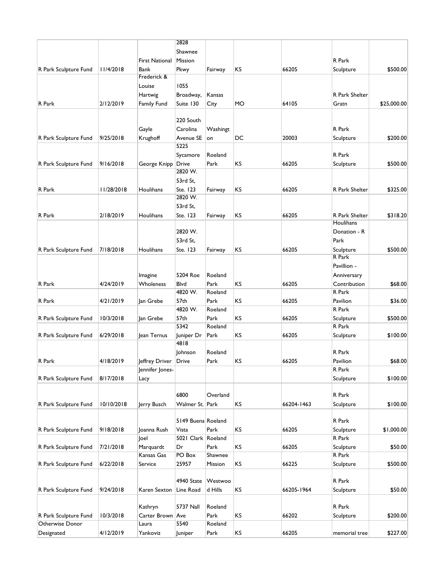|                       |            |                       | 2828               |          |           |            |                |             |
|-----------------------|------------|-----------------------|--------------------|----------|-----------|------------|----------------|-------------|
|                       |            |                       | Shawnee            |          |           |            |                |             |
|                       |            | <b>First National</b> | Mission            |          |           |            | R Park         |             |
| R Park Sculpture Fund | 11/4/2018  | <b>Bank</b>           | Pkwy               | Fairway  | KS        | 66205      | Sculpture      | \$500.00    |
|                       |            | Frederick &           |                    |          |           |            |                |             |
|                       |            | Louise                | 1055               |          |           |            |                |             |
|                       |            | Hartwig               | Broadway,          | Kansas   |           |            | R Park Shelter |             |
| R Park                | 2/12/2019  | <b>Family Fund</b>    | Suite 130          | City     | MO        | 64105      | Gratn          | \$25,000.00 |
|                       |            |                       |                    |          |           |            |                |             |
|                       |            |                       | 220 South          |          |           |            |                |             |
|                       |            |                       | Carolina           | Washingt |           |            | R Park         |             |
|                       |            | Gayle                 |                    |          |           |            |                |             |
| R Park Sculpture Fund | 9/25/2018  | Krughoff              | Avenue SE<br>5225  | on       | DC        | 20003      | Sculpture      | \$200.00    |
|                       |            |                       |                    |          |           |            |                |             |
|                       |            |                       | Sycamore           | Roeland  |           |            | R Park         |             |
| R Park Sculpture Fund | 9/16/2018  | George Knipp          | Drive              | Park     | KS        | 66205      | Sculpture      | \$500.00    |
|                       |            |                       | 2820 W.            |          |           |            |                |             |
|                       |            |                       | 53rd St,           |          |           |            |                |             |
| R Park                | 11/28/2018 | Houlihans             | Ste. 123           | Fairway  | KS        | 66205      | R Park Shelter | \$325.00    |
|                       |            |                       | 2820 W.            |          |           |            |                |             |
|                       |            |                       | 53rd St,           |          |           |            |                |             |
| R Park                | 2/18/2019  | Houlihans             | Ste. 123           | Fairway  | ΚS        | 66205      | R Park Shelter | \$318.20    |
|                       |            |                       |                    |          |           |            | Houlihans      |             |
|                       |            |                       | 2820 W.            |          |           |            | Donation - R   |             |
|                       |            |                       | 53rd St,           |          |           |            | Park           |             |
| R Park Sculpture Fund | 7/18/2018  | Houlihans             | Ste. 123           | Fairway  | KS        | 66205      | Sculpture      | \$500.00    |
|                       |            |                       |                    |          |           |            | R Park         |             |
|                       |            |                       |                    |          |           |            | Pavillion -    |             |
|                       |            | Imagine               | 5204 Roe           | Roeland  |           |            | Anniversary    |             |
| R Park                | 4/24/2019  | Wholeness             | Blvd               | Park     | KS        | 66205      | Contribution   | \$68.00     |
|                       |            |                       | 4820 W.            | Roeland  |           |            | R Park         |             |
| R Park                | 4/21/2019  | Jan Grebe             | 57 <sub>th</sub>   | Park     | KS        | 66205      | Pavilion       | \$36.00     |
|                       |            |                       | 4820 W.            | Roeland  |           |            | R Park         |             |
| R Park Sculpture Fund | 10/3/2018  | Jan Grebe             | 57th               | Park     | KS        | 66205      | Sculpture      | \$500.00    |
|                       |            |                       | 5342               | Roeland  |           |            | R Park         |             |
| R Park Sculpture Fund | 6/29/2018  | Jean Ternus           | Juniper Dr         | Park     | ΚS        | 66205      | Sculpture      | \$100.00    |
|                       |            |                       | 4818               |          |           |            |                |             |
|                       |            |                       | Johnson            | Roeland  |           |            | R Park         |             |
| R Park                | 4/18/2019  | Jeffrey Driver        | Drive              | Park     | KS        | 66205      | Pavilion       | \$68.00     |
|                       |            | Jennifer Jones-       |                    |          |           |            | R Park         |             |
| R Park Sculpture Fund | 8/17/2018  | Lacy                  |                    |          |           |            | Sculpture      | \$100.00    |
|                       |            |                       |                    |          |           |            |                |             |
|                       |            |                       | 6800               | Overland |           |            | R Park         |             |
| R Park Sculpture Fund | 10/10/2018 | Jerry Busch           | Walmer St. Park    |          | KS        | 66204-1463 | Sculpture      | \$100.00    |
|                       |            |                       |                    |          |           |            |                |             |
|                       |            |                       | 5149 Buena Roeland |          |           |            | R Park         |             |
| R Park Sculpture Fund | 9/18/2018  | Joanna Rush           | Vista              | Park     | ΚS        | 66205      | Sculpture      | \$1,000.00  |
|                       |            | Joel                  | 5021 Clark Roeland |          |           |            | R Park         |             |
| R Park Sculpture Fund | 7/21/2018  | Marquardt             | Dr                 | Park     | KS        | 66205      | Sculpture      | \$50.00     |
|                       |            | Kansas Gas            | PO Box             | Shawnee  |           |            | R Park         |             |
| R Park Sculpture Fund | 6/22/2018  | Service               | 25957              | Mission  | KS        | 66225      | Sculpture      | \$500.00    |
|                       |            |                       |                    |          |           |            |                |             |
|                       |            |                       | 4940 State         | Westwoo  |           |            | R Park         |             |
|                       |            |                       |                    |          |           |            |                |             |
| R Park Sculpture Fund | 9/24/2018  | Karen Sexton          | Line Road          | d Hills  | <b>KS</b> | 66205-1964 | Sculpture      | \$50.00     |
|                       |            |                       |                    |          |           |            |                |             |
|                       |            | Kathryn               | <b>5737 Nall</b>   | Roeland  |           |            | R Park         |             |
| R Park Sculpture Fund | 10/3/2018  | Carter Brown Ave      |                    | Park     | <b>KS</b> | 66202      | Sculpture      | \$200.00    |
| Otherwise Donor       |            | Laura                 | 5540               | Roeland  |           |            |                |             |
| Designated            | 4/12/2019  | Yankoviz              | Juniper            | Park     | KS        | 66205      | memorial tree  | \$227.00    |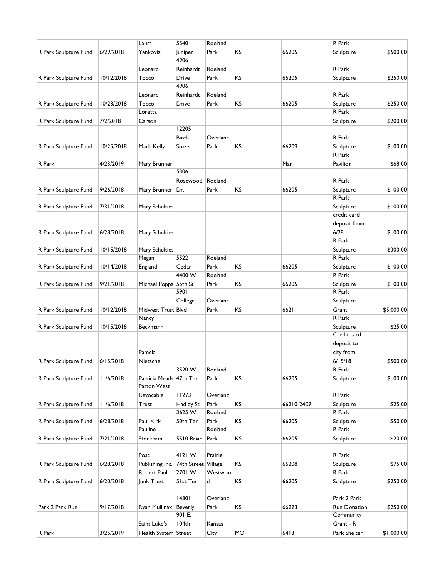|                       |            | Laura                               | 5540         | Roeland  |    |            | R Park       |            |
|-----------------------|------------|-------------------------------------|--------------|----------|----|------------|--------------|------------|
| R Park Sculpture Fund | 6/29/2018  | Yankoviz                            | Juniper      | Park     | KS | 66205      | Sculpture    | \$500.00   |
|                       |            |                                     | 4906         |          |    |            |              |            |
|                       |            | Leonard                             | Reinhardt    | Roeland  |    |            | R Park       |            |
| R Park Sculpture Fund | 10/12/2018 | Tocco                               | Drive        | Park     | KS | 66205      | Sculpture    | \$250.00   |
|                       |            |                                     | 4906         |          |    |            |              |            |
|                       |            | Leonard                             | Reinhardt    | Roeland  |    |            | R Park       |            |
| R Park Sculpture Fund | 10/23/2018 | Tocco                               | Drive        | Park     | KS | 66205      | Sculpture    | \$250.00   |
|                       |            | Loretta                             |              |          |    |            | R Park       |            |
| R Park Sculpture Fund | 7/2/2018   | Carson                              |              |          |    |            | Sculpture    | \$200.00   |
|                       |            |                                     | 12205        |          |    |            |              |            |
|                       |            |                                     | <b>Birch</b> | Overland |    |            | R Park       |            |
| R Park Sculpture Fund | 10/25/2018 | Mark Kelly                          | Street       | Park     | KS | 66209      | Sculpture    | \$100.00   |
|                       |            |                                     |              |          |    |            | R Park       |            |
| R Park                | 4/23/2019  | Mary Brunner                        |              |          |    | Mar        | Pavilion     | \$68.00    |
|                       |            |                                     | 5306         |          |    |            |              |            |
|                       |            |                                     | Rosewood     | Roeland  |    |            | R Park       |            |
| R Park Sculpture Fund | 9/26/2018  | Mary Brunner                        | Dr.          | Park     | KS | 66205      | Sculpture    | \$100.00   |
|                       |            |                                     |              |          |    |            | R Park       |            |
| R Park Sculpture Fund | 7/31/2018  | Mary Schulties                      |              |          |    |            | Sculpture    | \$100.00   |
|                       |            |                                     |              |          |    |            | credit card  |            |
|                       |            |                                     |              |          |    |            | deposit from |            |
| R Park Sculpture Fund | 6/28/2018  | Mary Schulties                      |              |          |    |            | 6/28         | \$100.00   |
|                       |            |                                     |              |          |    |            | R Park       |            |
| R Park Sculpture Fund | 10/15/2018 | Mary Schulties                      |              |          |    |            | Sculpture    | \$300.00   |
|                       |            | Megan                               | 5522         | Roeland  |    |            | R Park       |            |
| R Park Sculpture Fund | 10/14/2018 | England                             | Cedar        | Park     | ΚS | 66205      | Sculpture    | \$100.00   |
|                       |            |                                     | 4400 W       | Roeland  |    |            | R Park       |            |
| R Park Sculpture Fund | 9/21/2018  | Michael Poppa 55th St               |              | Park     | KS | 66205      | Sculpture    | \$100.00   |
|                       |            |                                     | 5901         |          |    |            | R Park       |            |
|                       |            |                                     | College      | Overland |    |            | Sculpture    |            |
| R Park Sculpture Fund | 10/12/2018 | Midwest Trust Blvd                  |              | Park     | KS | 66211      | Grant        | \$5,000.00 |
|                       |            | Nancy                               |              |          |    |            | R Park       |            |
| R Park Sculpture Fund | 10/15/2018 | Beckmann                            |              |          |    |            | Sculpture    | \$25.00    |
|                       |            |                                     |              |          |    |            | Credit card  |            |
|                       |            |                                     |              |          |    |            | deposit to   |            |
|                       |            | Pamela                              |              |          |    |            | city from    |            |
| R Park Sculpture Fund | 6/15/2018  | Nietsche                            |              |          |    |            | 6/15/18      | \$500.00   |
|                       |            |                                     | 3520W        | Roeland  |    |            | R Park       |            |
| R Park Sculpture Fund | 11/6/2018  | Patricia Meads 47th Ter             |              | Park     | KS | 66205      | Sculpture    | \$100.00   |
|                       |            | Patton West                         |              |          |    |            |              |            |
|                       |            | Revocable                           | 11273        | Overland |    |            | R Park       |            |
| R Park Sculpture Fund | 11/6/2018  | Trust                               | Hadley St.   | Park     | KS | 66210-2409 | Sculpture    | \$25.00    |
|                       |            |                                     | 3625 W.      | Roeland  |    |            | R Park       |            |
| R Park Sculpture Fund | 6/28/2018  | Paul Kirk                           | 50th Ter     | Park     | KS | 66205      | Sculpture    | \$50.00    |
|                       |            | Pauline                             |              | Roeland  |    |            | R Park       |            |
| R Park Sculpture Fund | 7/21/2018  | Stockham                            | 5510 Briar   | Park     | KS | 66205      | Sculpture    | \$20.00    |
|                       |            |                                     |              |          |    |            |              |            |
|                       |            | Post                                | 4121 W.      | Prairie  |    |            | R Park       |            |
| R Park Sculpture Fund | 6/28/2018  | Publishing Inc. 74th Street Village |              |          | KS | 66208      | Sculpture    | \$75.00    |
|                       |            | Robert Paul                         | 2701 W       | Westwoo  |    |            | R Park       |            |
| R Park Sculpture Fund | 6/20/2018  | Junk Trust                          | 51st Ter     | d        | KS | 66205      | Sculpture    | \$250.00   |
|                       |            |                                     |              |          |    |            |              |            |
|                       |            |                                     | 14301        | Overland |    |            | Park 2 Park  |            |
| Park 2 Park Run       | 9/17/2018  | Ryan Mullinax                       | Beverly      | Park     | KS | 66223      | Run Donation | \$250.00   |
|                       |            |                                     | 901 E.       |          |    |            | Community    |            |
|                       |            | Saint Luke's                        | 104th        | Kansas   |    |            | Grant - R    |            |
| R Park                | 3/25/2019  | Health System Street                |              | City     | MO | 64131      | Park Shelter | \$1,000.00 |